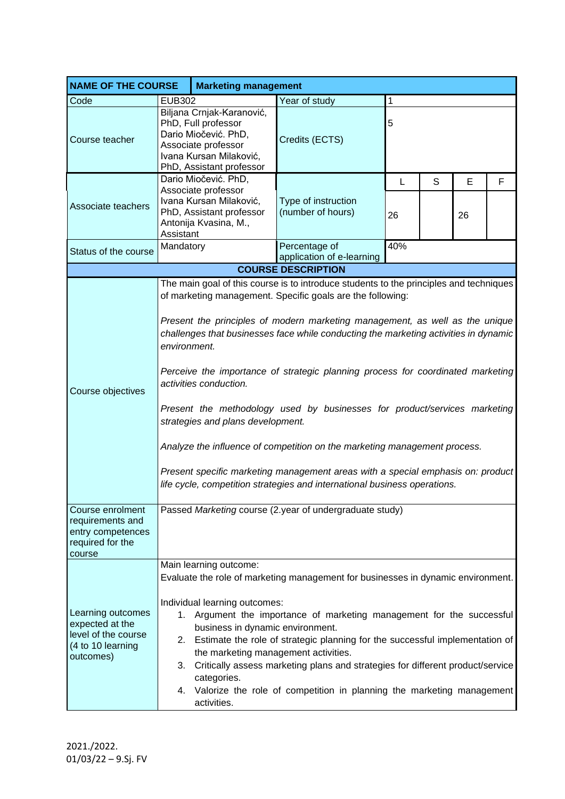|                                                                                               | <b>NAME OF THE COURSE</b><br><b>Marketing management</b>                                                                                                                                                                                                                                                                                                                                                                                                                                                                                                                                                                                                                                                                                                                                                                 |                      |                                            |     |   |    |   |  |  |
|-----------------------------------------------------------------------------------------------|--------------------------------------------------------------------------------------------------------------------------------------------------------------------------------------------------------------------------------------------------------------------------------------------------------------------------------------------------------------------------------------------------------------------------------------------------------------------------------------------------------------------------------------------------------------------------------------------------------------------------------------------------------------------------------------------------------------------------------------------------------------------------------------------------------------------------|----------------------|--------------------------------------------|-----|---|----|---|--|--|
| Code                                                                                          | <b>EUB302</b>                                                                                                                                                                                                                                                                                                                                                                                                                                                                                                                                                                                                                                                                                                                                                                                                            |                      | Year of study<br>1                         |     |   |    |   |  |  |
| Course teacher                                                                                | Biljana Crnjak-Karanović,<br>PhD, Full professor<br>Dario Miočević. PhD,<br>Associate professor<br>Ivana Kursan Milaković,<br>PhD, Assistant professor                                                                                                                                                                                                                                                                                                                                                                                                                                                                                                                                                                                                                                                                   |                      | Credits (ECTS)                             | 5   |   |    |   |  |  |
|                                                                                               |                                                                                                                                                                                                                                                                                                                                                                                                                                                                                                                                                                                                                                                                                                                                                                                                                          | Dario Miočević. PhD, |                                            | L   | S | E  | F |  |  |
| Associate teachers                                                                            | Associate professor<br>Ivana Kursan Milaković,<br>PhD, Assistant professor<br>Antonija Kvasina, M.,<br>Assistant                                                                                                                                                                                                                                                                                                                                                                                                                                                                                                                                                                                                                                                                                                         |                      | Type of instruction<br>(number of hours)   | 26  |   | 26 |   |  |  |
| Status of the course                                                                          | Mandatory                                                                                                                                                                                                                                                                                                                                                                                                                                                                                                                                                                                                                                                                                                                                                                                                                |                      | Percentage of<br>application of e-learning | 40% |   |    |   |  |  |
|                                                                                               |                                                                                                                                                                                                                                                                                                                                                                                                                                                                                                                                                                                                                                                                                                                                                                                                                          |                      | <b>COURSE DESCRIPTION</b>                  |     |   |    |   |  |  |
| Course objectives                                                                             | The main goal of this course is to introduce students to the principles and techniques<br>of marketing management. Specific goals are the following:<br>Present the principles of modern marketing management, as well as the unique<br>challenges that businesses face while conducting the marketing activities in dynamic<br>environment.<br>Perceive the importance of strategic planning process for coordinated marketing<br>activities conduction.<br>Present the methodology used by businesses for product/services marketing<br>strategies and plans development.<br>Analyze the influence of competition on the marketing management process.<br>Present specific marketing management areas with a special emphasis on: product<br>life cycle, competition strategies and international business operations. |                      |                                            |     |   |    |   |  |  |
| Course enrolment<br>requirements and<br>entry competences<br>required for the<br>course       | Passed Marketing course (2.year of undergraduate study)                                                                                                                                                                                                                                                                                                                                                                                                                                                                                                                                                                                                                                                                                                                                                                  |                      |                                            |     |   |    |   |  |  |
|                                                                                               | Main learning outcome:<br>Evaluate the role of marketing management for businesses in dynamic environment.<br>Individual learning outcomes:                                                                                                                                                                                                                                                                                                                                                                                                                                                                                                                                                                                                                                                                              |                      |                                            |     |   |    |   |  |  |
| Learning outcomes<br>expected at the<br>level of the course<br>(4 to 10 learning<br>outcomes) | 1. Argument the importance of marketing management for the successful<br>business in dynamic environment.<br>2. Estimate the role of strategic planning for the successful implementation of<br>the marketing management activities.<br>Critically assess marketing plans and strategies for different product/service<br>3.                                                                                                                                                                                                                                                                                                                                                                                                                                                                                             |                      |                                            |     |   |    |   |  |  |
|                                                                                               | categories.<br>4. Valorize the role of competition in planning the marketing management<br>activities.                                                                                                                                                                                                                                                                                                                                                                                                                                                                                                                                                                                                                                                                                                                   |                      |                                            |     |   |    |   |  |  |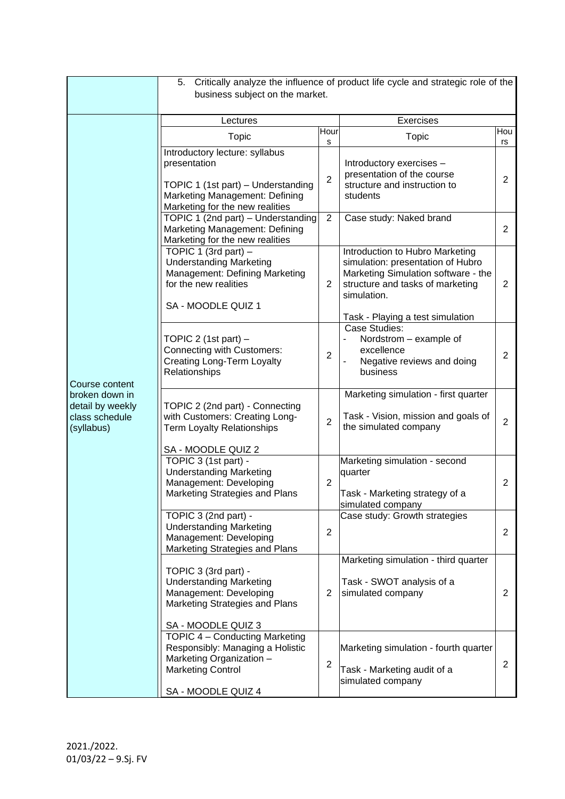|                                                                                      | Critically analyze the influence of product life cycle and strategic role of the<br>5.<br>business subject on the market.                                 |                     |                                                                                                                                                                 |                |  |  |  |  |
|--------------------------------------------------------------------------------------|-----------------------------------------------------------------------------------------------------------------------------------------------------------|---------------------|-----------------------------------------------------------------------------------------------------------------------------------------------------------------|----------------|--|--|--|--|
|                                                                                      | Lectures                                                                                                                                                  | <b>Exercises</b>    |                                                                                                                                                                 |                |  |  |  |  |
|                                                                                      | Hour<br><b>Topic</b>                                                                                                                                      |                     | <b>Topic</b>                                                                                                                                                    | Hou<br>rs      |  |  |  |  |
| Course content<br>broken down in<br>detail by weekly<br>class schedule<br>(syllabus) | Introductory lecture: syllabus<br>presentation<br>TOPIC 1 (1st part) - Understanding<br>Marketing Management: Defining<br>Marketing for the new realities | s<br>$\overline{2}$ | Introductory exercises -<br>presentation of the course<br>structure and instruction to<br>students                                                              | 2              |  |  |  |  |
|                                                                                      | TOPIC 1 (2nd part) - Understanding<br>Marketing Management: Defining<br>Marketing for the new realities                                                   | $\overline{2}$      | Case study: Naked brand                                                                                                                                         | 2              |  |  |  |  |
|                                                                                      | TOPIC 1 (3rd part) $-$<br><b>Understanding Marketing</b><br>Management: Defining Marketing<br>for the new realities<br>SA - MOODLE QUIZ 1                 | $\overline{2}$      | Introduction to Hubro Marketing<br>simulation: presentation of Hubro<br>Marketing Simulation software - the<br>structure and tasks of marketing<br>simulation.  | $\overline{2}$ |  |  |  |  |
|                                                                                      | TOPIC 2 (1st part) $-$<br>Connecting with Customers:<br><b>Creating Long-Term Loyalty</b><br>Relationships                                                | $\overline{2}$      | Task - Playing a test simulation<br>Case Studies:<br>Nordstrom - example of<br>$\overline{\phantom{0}}$<br>excellence<br>Negative reviews and doing<br>business | $\overline{2}$ |  |  |  |  |
|                                                                                      | TOPIC 2 (2nd part) - Connecting<br>with Customers: Creating Long-<br><b>Term Loyalty Relationships</b>                                                    | $\overline{2}$      | Marketing simulation - first quarter<br>Task - Vision, mission and goals of<br>the simulated company                                                            | $\overline{2}$ |  |  |  |  |
|                                                                                      | SA - MOODLE QUIZ 2<br>TOPIC 3 (1st part) -<br><b>Understanding Marketing</b><br>Management: Developing<br>Marketing Strategies and Plans                  | $\overline{2}$      | Marketing simulation - second<br>quarter<br>Task - Marketing strategy of a<br>simulated company                                                                 | $\overline{2}$ |  |  |  |  |
|                                                                                      | TOPIC 3 (2nd part) -<br><b>Understanding Marketing</b><br>Management: Developing<br>Marketing Strategies and Plans                                        | 2                   | Case study: Growth strategies                                                                                                                                   | $\overline{2}$ |  |  |  |  |
|                                                                                      | TOPIC 3 (3rd part) -<br><b>Understanding Marketing</b><br>Management: Developing<br>Marketing Strategies and Plans<br>SA - MOODLE QUIZ 3                  | 2                   | Marketing simulation - third quarter<br>Task - SWOT analysis of a<br>simulated company                                                                          | $\overline{2}$ |  |  |  |  |
|                                                                                      | TOPIC 4 - Conducting Marketing<br>Responsibly: Managing a Holistic<br>Marketing Organization -<br><b>Marketing Control</b><br>SA - MOODLE QUIZ 4          | $\overline{2}$      | Marketing simulation - fourth quarter<br>Task - Marketing audit of a<br>simulated company                                                                       | $\overline{2}$ |  |  |  |  |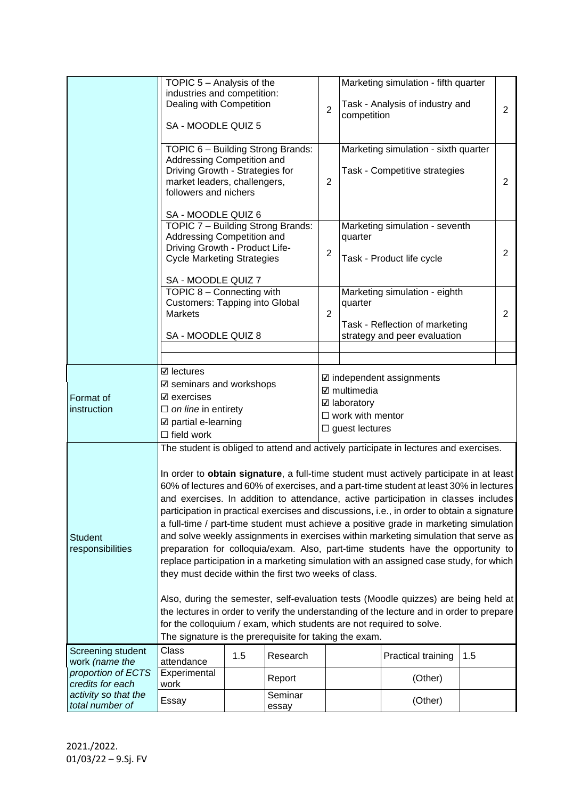|                                                          | TOPIC 5 - Analysis of the<br>industries and competition:<br>Dealing with Competition                                                                                                                                                                                                                                                                                                                                                                                                                                                                                                                                                                                                                                                                                                         |     |                  | Marketing simulation - fifth quarter<br>Task - Analysis of industry and |             |                                                                                      |                |                |
|----------------------------------------------------------|----------------------------------------------------------------------------------------------------------------------------------------------------------------------------------------------------------------------------------------------------------------------------------------------------------------------------------------------------------------------------------------------------------------------------------------------------------------------------------------------------------------------------------------------------------------------------------------------------------------------------------------------------------------------------------------------------------------------------------------------------------------------------------------------|-----|------------------|-------------------------------------------------------------------------|-------------|--------------------------------------------------------------------------------------|----------------|----------------|
|                                                          | SA - MOODLE QUIZ 5                                                                                                                                                                                                                                                                                                                                                                                                                                                                                                                                                                                                                                                                                                                                                                           |     |                  | $\overline{2}$                                                          | competition |                                                                                      |                | 2              |
|                                                          | TOPIC 6 - Building Strong Brands:<br>Addressing Competition and<br>Driving Growth - Strategies for                                                                                                                                                                                                                                                                                                                                                                                                                                                                                                                                                                                                                                                                                           |     |                  |                                                                         |             | Marketing simulation - sixth quarter<br>Task - Competitive strategies                |                |                |
|                                                          | market leaders, challengers,<br>followers and nichers                                                                                                                                                                                                                                                                                                                                                                                                                                                                                                                                                                                                                                                                                                                                        |     |                  | 2                                                                       |             |                                                                                      |                | $\overline{2}$ |
|                                                          | SA - MOODLE QUIZ 6<br>TOPIC 7 - Building Strong Brands:                                                                                                                                                                                                                                                                                                                                                                                                                                                                                                                                                                                                                                                                                                                                      |     |                  |                                                                         |             | Marketing simulation - seventh                                                       |                |                |
|                                                          | Addressing Competition and<br>Driving Growth - Product Life-<br><b>Cycle Marketing Strategies</b>                                                                                                                                                                                                                                                                                                                                                                                                                                                                                                                                                                                                                                                                                            |     | $\overline{2}$   | quarter<br>Task - Product life cycle                                    |             |                                                                                      | $\overline{2}$ |                |
|                                                          | SA - MOODLE QUIZ 7                                                                                                                                                                                                                                                                                                                                                                                                                                                                                                                                                                                                                                                                                                                                                                           |     |                  |                                                                         |             |                                                                                      |                |                |
|                                                          | TOPIC 8 - Connecting with<br><b>Customers: Tapping into Global</b><br><b>Markets</b>                                                                                                                                                                                                                                                                                                                                                                                                                                                                                                                                                                                                                                                                                                         |     |                  | 2                                                                       | quarter     | Marketing simulation - eighth                                                        |                | 2              |
|                                                          | SA - MOODLE QUIZ 8                                                                                                                                                                                                                                                                                                                                                                                                                                                                                                                                                                                                                                                                                                                                                                           |     |                  |                                                                         |             | Task - Reflection of marketing<br>strategy and peer evaluation                       |                |                |
|                                                          |                                                                                                                                                                                                                                                                                                                                                                                                                                                                                                                                                                                                                                                                                                                                                                                              |     |                  |                                                                         |             |                                                                                      |                |                |
| Format of<br>instruction                                 | <b>☑</b> lectures<br>$\boxtimes$ independent assignments<br>$\boxtimes$ seminars and workshops<br>$\boxtimes$ multimedia<br>$\boxtimes$ exercises<br>☑ laboratory<br>$\Box$ on line in entirety<br>$\Box$ work with mentor<br>$\boxtimes$ partial e-learning<br>$\Box$ guest lectures<br>$\Box$ field work                                                                                                                                                                                                                                                                                                                                                                                                                                                                                   |     |                  |                                                                         |             |                                                                                      |                |                |
|                                                          |                                                                                                                                                                                                                                                                                                                                                                                                                                                                                                                                                                                                                                                                                                                                                                                              |     |                  |                                                                         |             | The student is obliged to attend and actively participate in lectures and exercises. |                |                |
| <b>Student</b><br>responsibilities                       | In order to obtain signature, a full-time student must actively participate in at least<br>60% of lectures and 60% of exercises, and a part-time student at least 30% in lectures<br>and exercises. In addition to attendance, active participation in classes includes<br>participation in practical exercises and discussions, i.e., in order to obtain a signature<br>a full-time / part-time student must achieve a positive grade in marketing simulation<br>and solve weekly assignments in exercises within marketing simulation that serve as<br>preparation for colloquia/exam. Also, part-time students have the opportunity to<br>replace participation in a marketing simulation with an assigned case study, for which<br>they must decide within the first two weeks of class. |     |                  |                                                                         |             |                                                                                      |                |                |
|                                                          | Also, during the semester, self-evaluation tests (Moodle quizzes) are being held at<br>the lectures in order to verify the understanding of the lecture and in order to prepare<br>for the colloquium / exam, which students are not required to solve.<br>The signature is the prerequisite for taking the exam.                                                                                                                                                                                                                                                                                                                                                                                                                                                                            |     |                  |                                                                         |             |                                                                                      |                |                |
| Screening student                                        | Class                                                                                                                                                                                                                                                                                                                                                                                                                                                                                                                                                                                                                                                                                                                                                                                        | 1.5 | Research         |                                                                         |             | Practical training                                                                   | 1.5            |                |
| work (name the<br>proportion of ECTS<br>credits for each | attendance<br>Experimental<br>work                                                                                                                                                                                                                                                                                                                                                                                                                                                                                                                                                                                                                                                                                                                                                           |     | Report           |                                                                         |             | (Other)                                                                              |                |                |
| activity so that the<br>total number of                  | Essay                                                                                                                                                                                                                                                                                                                                                                                                                                                                                                                                                                                                                                                                                                                                                                                        |     | Seminar<br>essay |                                                                         |             | (Other)                                                                              |                |                |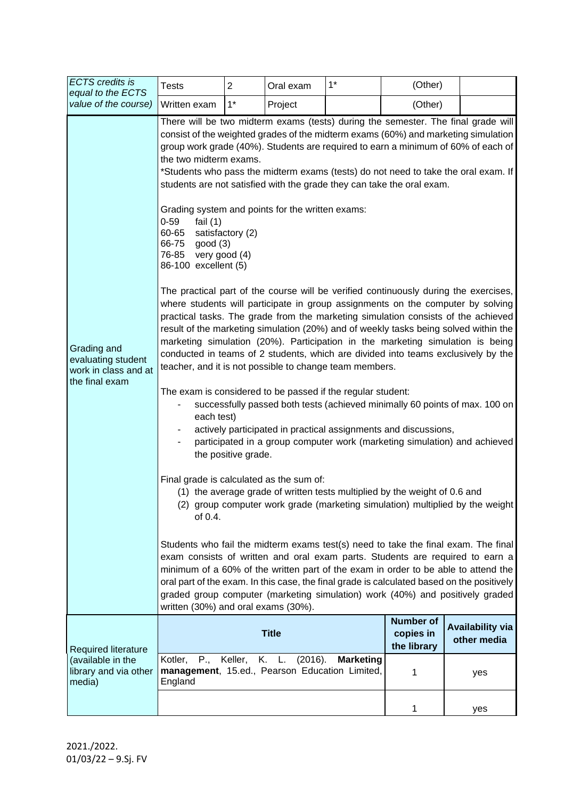| <b>ECTS</b> credits is<br>equal to the ECTS<br>value of the course)<br>Grading and<br>evaluating student<br>work in class and at<br>the final exam | <b>Tests</b>                                                                                                                                                                                                                                                                                                                                                                                                                                                                                                                                                                                                                                                                                                                                                                                                                                                                                                              | $\overline{2}$ | Oral exam    | $1*$ | (Other)                                      |                                        |  |  |
|----------------------------------------------------------------------------------------------------------------------------------------------------|---------------------------------------------------------------------------------------------------------------------------------------------------------------------------------------------------------------------------------------------------------------------------------------------------------------------------------------------------------------------------------------------------------------------------------------------------------------------------------------------------------------------------------------------------------------------------------------------------------------------------------------------------------------------------------------------------------------------------------------------------------------------------------------------------------------------------------------------------------------------------------------------------------------------------|----------------|--------------|------|----------------------------------------------|----------------------------------------|--|--|
|                                                                                                                                                    | Written exam                                                                                                                                                                                                                                                                                                                                                                                                                                                                                                                                                                                                                                                                                                                                                                                                                                                                                                              | $1^*$          | Project      |      | (Other)                                      |                                        |  |  |
|                                                                                                                                                    | There will be two midterm exams (tests) during the semester. The final grade will<br>consist of the weighted grades of the midterm exams (60%) and marketing simulation<br>group work grade (40%). Students are required to earn a minimum of 60% of each of<br>the two midterm exams.<br>*Students who pass the midterm exams (tests) do not need to take the oral exam. If<br>students are not satisfied with the grade they can take the oral exam.<br>Grading system and points for the written exams:<br>$0 - 59$<br>fail $(1)$<br>60-65<br>satisfactory (2)<br>66-75<br>good(3)<br>76-85 very good (4)                                                                                                                                                                                                                                                                                                              |                |              |      |                                              |                                        |  |  |
|                                                                                                                                                    | The practical part of the course will be verified continuously during the exercises,<br>where students will participate in group assignments on the computer by solving<br>practical tasks. The grade from the marketing simulation consists of the achieved<br>result of the marketing simulation (20%) and of weekly tasks being solved within the<br>marketing simulation (20%). Participation in the marketing simulation is being<br>conducted in teams of 2 students, which are divided into teams exclusively by the<br>teacher, and it is not possible to change team members.<br>The exam is considered to be passed if the regular student:<br>successfully passed both tests (achieved minimally 60 points of max. 100 on<br>each test)<br>actively participated in practical assignments and discussions,<br>participated in a group computer work (marketing simulation) and achieved<br>the positive grade. |                |              |      |                                              |                                        |  |  |
|                                                                                                                                                    | Final grade is calculated as the sum of:<br>(1) the average grade of written tests multiplied by the weight of 0.6 and<br>(2) group computer work grade (marketing simulation) multiplied by the weight<br>of $0.4$ .<br>Students who fail the midterm exams test(s) need to take the final exam. The final<br>exam consists of written and oral exam parts. Students are required to earn a<br>minimum of a 60% of the written part of the exam in order to be able to attend the<br>oral part of the exam. In this case, the final grade is calculated based on the positively                                                                                                                                                                                                                                                                                                                                          |                |              |      |                                              |                                        |  |  |
|                                                                                                                                                    | graded group computer (marketing simulation) work (40%) and positively graded<br>written (30%) and oral exams (30%).                                                                                                                                                                                                                                                                                                                                                                                                                                                                                                                                                                                                                                                                                                                                                                                                      |                |              |      |                                              |                                        |  |  |
| Required literature<br>(available in the<br>library and via other<br>media)                                                                        |                                                                                                                                                                                                                                                                                                                                                                                                                                                                                                                                                                                                                                                                                                                                                                                                                                                                                                                           |                | <b>Title</b> |      | <b>Number of</b><br>copies in<br>the library | <b>Availability via</b><br>other media |  |  |
|                                                                                                                                                    | (2016).<br>P.,<br>Keller,<br>K. L.<br><b>Marketing</b><br>Kotler,<br>management, 15.ed., Pearson Education Limited,<br>England                                                                                                                                                                                                                                                                                                                                                                                                                                                                                                                                                                                                                                                                                                                                                                                            |                |              |      | 1                                            | yes                                    |  |  |
|                                                                                                                                                    |                                                                                                                                                                                                                                                                                                                                                                                                                                                                                                                                                                                                                                                                                                                                                                                                                                                                                                                           |                |              |      | 1                                            | yes                                    |  |  |

2021./2022. 01/03/22 – 9.Sj. FV